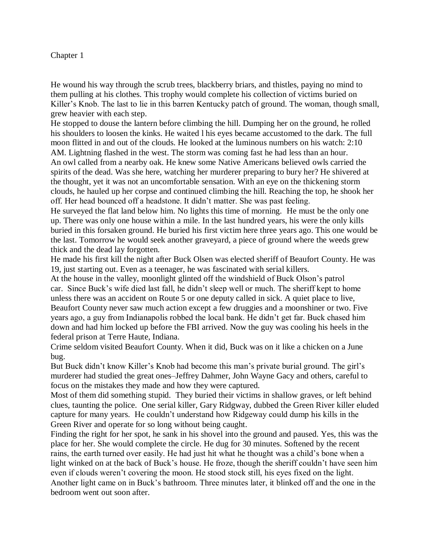## Chapter 1

He wound his way through the scrub trees, blackberry briars, and thistles, paying no mind to them pulling at his clothes. This trophy would complete his collection of victims buried on Killer's Knob. The last to lie in this barren Kentucky patch of ground. The woman, though small, grew heavier with each step.

He stopped to douse the lantern before climbing the hill. Dumping her on the ground, he rolled his shoulders to loosen the kinks. He waited l his eyes became accustomed to the dark. The full moon flitted in and out of the clouds. He looked at the luminous numbers on his watch: 2:10 AM. Lightning flashed in the west. The storm was coming fast he had less than an hour. An owl called from a nearby oak. He knew some Native Americans believed owls carried the spirits of the dead. Was she here, watching her murderer preparing to bury her? He shivered at the thought, yet it was not an uncomfortable sensation. With an eye on the thickening storm clouds, he hauled up her corpse and continued climbing the hill. Reaching the top, he shook her

off. Her head bounced off a headstone. It didn't matter. She was past feeling.

He surveyed the flat land below him. No lights this time of morning. He must be the only one up. There was only one house within a mile. In the last hundred years, his were the only kills buried in this forsaken ground. He buried his first victim here three years ago. This one would be the last. Tomorrow he would seek another graveyard, a piece of ground where the weeds grew thick and the dead lay forgotten.

He made his first kill the night after Buck Olsen was elected sheriff of Beaufort County. He was 19, just starting out. Even as a teenager, he was fascinated with serial killers.

At the house in the valley, moonlight glinted off the windshield of Buck Olson's patrol car. Since Buck's wife died last fall, he didn't sleep well or much. The sheriff kept to home unless there was an accident on Route 5 or one deputy called in sick. A quiet place to live, Beaufort County never saw much action except a few druggies and a moonshiner or two. Five years ago, a guy from Indianapolis robbed the local bank. He didn't get far. Buck chased him down and had him locked up before the FBI arrived. Now the guy was cooling his heels in the federal prison at Terre Haute, Indiana.

Crime seldom visited Beaufort County. When it did, Buck was on it like a chicken on a June bug.

But Buck didn't know Killer's Knob had become this man's private burial ground. The girl's murderer had studied the great ones–Jeffrey Dahmer, John Wayne Gacy and others, careful to focus on the mistakes they made and how they were captured.

Most of them did something stupid. They buried their victims in shallow graves, or left behind clues, taunting the police. One serial killer, Gary Ridgway, dubbed the Green River killer eluded capture for many years. He couldn't understand how Ridgeway could dump his kills in the Green River and operate for so long without being caught.

Finding the right for her spot, he sank in his shovel into the ground and paused. Yes, this was the place for her. She would complete the circle. He dug for 30 minutes. Softened by the recent rains, the earth turned over easily. He had just hit what he thought was a child's bone when a light winked on at the back of Buck's house. He froze, though the sheriff couldn't have seen him even if clouds weren't covering the moon. He stood stock still, his eyes fixed on the light. Another light came on in Buck's bathroom. Three minutes later, it blinked off and the one in the bedroom went out soon after.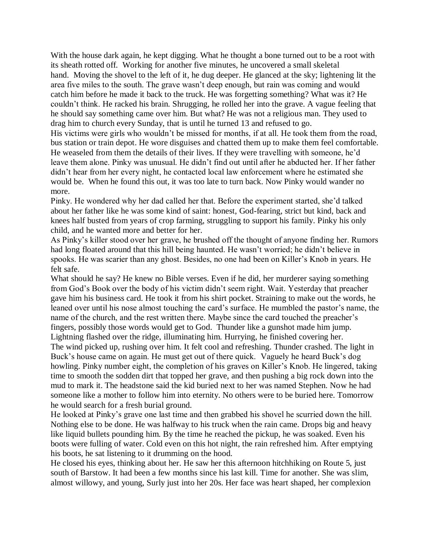With the house dark again, he kept digging. What he thought a bone turned out to be a root with its sheath rotted off. Working for another five minutes, he uncovered a small skeletal hand. Moving the shovel to the left of it, he dug deeper. He glanced at the sky; lightening lit the area five miles to the south. The grave wasn't deep enough, but rain was coming and would catch him before he made it back to the truck. He was forgetting something? What was it? He couldn't think. He racked his brain. Shrugging, he rolled her into the grave. A vague feeling that he should say something came over him. But what? He was not a religious man. They used to drag him to church every Sunday, that is until he turned 13 and refused to go.

His victims were girls who wouldn't be missed for months, if at all. He took them from the road, bus station or train depot. He wore disguises and chatted them up to make them feel comfortable. He weaseled from them the details of their lives. If they were travelling with someone, he'd leave them alone. Pinky was unusual. He didn't find out until after he abducted her. If her father didn't hear from her every night, he contacted local law enforcement where he estimated she would be. When he found this out, it was too late to turn back. Now Pinky would wander no more.

Pinky. He wondered why her dad called her that. Before the experiment started, she'd talked about her father like he was some kind of saint: honest, God-fearing, strict but kind, back and knees half busted from years of crop farming, struggling to support his family. Pinky his only child, and he wanted more and better for her.

As Pinky's killer stood over her grave, he brushed off the thought of anyone finding her. Rumors had long floated around that this hill being haunted. He wasn't worried; he didn't believe in spooks. He was scarier than any ghost. Besides, no one had been on Killer's Knob in years. He felt safe.

What should he say? He knew no Bible verses. Even if he did, her murderer saying something from God's Book over the body of his victim didn't seem right. Wait. Yesterday that preacher gave him his business card. He took it from his shirt pocket. Straining to make out the words, he leaned over until his nose almost touching the card's surface. He mumbled the pastor's name, the name of the church, and the rest written there. Maybe since the card touched the preacher's fingers, possibly those words would get to God. Thunder like a gunshot made him jump. Lightning flashed over the ridge, illuminating him. Hurrying, he finished covering her. The wind picked up, rushing over him. It felt cool and refreshing. Thunder crashed. The light in Buck's house came on again. He must get out of there quick. Vaguely he heard Buck's dog howling. Pinky number eight, the completion of his graves on Killer's Knob. He lingered, taking time to smooth the sodden dirt that topped her grave, and then pushing a big rock down into the mud to mark it. The headstone said the kid buried next to her was named Stephen. Now he had someone like a mother to follow him into eternity. No others were to be buried here. Tomorrow he would search for a fresh burial ground.

He looked at Pinky's grave one last time and then grabbed his shovel he scurried down the hill. Nothing else to be done. He was halfway to his truck when the rain came. Drops big and heavy like liquid bullets pounding him. By the time he reached the pickup, he was soaked. Even his boots were fulling of water. Cold even on this hot night, the rain refreshed him. After emptying his boots, he sat listening to it drumming on the hood.

He closed his eyes, thinking about her. He saw her this afternoon hitchhiking on Route 5, just south of Barstow. It had been a few months since his last kill. Time for another. She was slim, almost willowy, and young, Surly just into her 20s. Her face was heart shaped, her complexion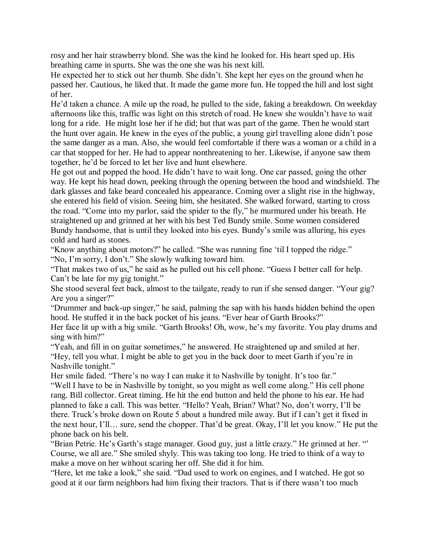rosy and her hair strawberry blond. She was the kind he looked for. His heart sped up. His breathing came in spurts. She was the one she was his next kill.

He expected her to stick out her thumb. She didn't. She kept her eyes on the ground when he passed her. Cautious, he liked that. It made the game more fun. He topped the hill and lost sight of her.

He'd taken a chance. A mile up the road, he pulled to the side, faking a breakdown. On weekday afternoons like this, traffic was light on this stretch of road. He knew she wouldn't have to wait long for a ride. He might lose her if he did; but that was part of the game. Then he would start the hunt over again. He knew in the eyes of the public, a young girl travelling alone didn't pose the same danger as a man. Also, she would feel comfortable if there was a woman or a child in a car that stopped for her. He had to appear nonthreatening to her. Likewise, if anyone saw them together, he'd be forced to let her live and hunt elsewhere.

He got out and popped the hood. He didn't have to wait long. One car passed, going the other way. He kept his head down, peeking through the opening between the hood and windshield. The dark glasses and fake beard concealed his appearance. Coming over a slight rise in the highway, she entered his field of vision. Seeing him, she hesitated. She walked forward, starting to cross the road. "Come into my parlor, said the spider to the fly," he murmured under his breath. He straightened up and grinned at her with his best Ted Bundy smile. Some women considered Bundy handsome, that is until they looked into his eyes. Bundy's smile was alluring, his eyes cold and hard as stones.

"Know anything about motors?" he called. "She was running fine 'til I topped the ridge." "No, I'm sorry, I don't." She slowly walking toward him.

"That makes two of us," he said as he pulled out his cell phone. "Guess I better call for help. Can't be late for my gig tonight."

She stood several feet back, almost to the tailgate, ready to run if she sensed danger. "Your gig? Are you a singer?"

"Drummer and back-up singer," he said, palming the sap with his hands hidden behind the open hood. He stuffed it in the back pocket of his jeans. "Ever hear of Garth Brooks?"

Her face lit up with a big smile. "Garth Brooks! Oh, wow, he's my favorite. You play drums and sing with him?"

"Yeah, and fill in on guitar sometimes," he answered. He straightened up and smiled at her. "Hey, tell you what. I might be able to get you in the back door to meet Garth if you're in Nashville tonight."

Her smile faded. "There's no way I can make it to Nashville by tonight. It's too far."

"Well I have to be in Nashville by tonight, so you might as well come along." His cell phone rang. Bill collector. Great timing. He hit the end button and held the phone to his ear. He had planned to fake a call. This was better. "Hello? Yeah, Brian? What? No, don't worry, I'll be there. Truck's broke down on Route 5 about a hundred mile away. But if I can't get it fixed in the next hour, I'll… sure, send the chopper. That'd be great. Okay, I'll let you know." He put the phone back on his belt.

"Brian Petrie. He's Garth's stage manager. Good guy, just a little crazy." He grinned at her. "' Course, we all are." She smiled shyly. This was taking too long. He tried to think of a way to make a move on her without scaring her off. She did it for him.

"Here, let me take a look," she said. "Dad used to work on engines, and I watched. He got so good at it our farm neighbors had him fixing their tractors. That is if there wasn't too much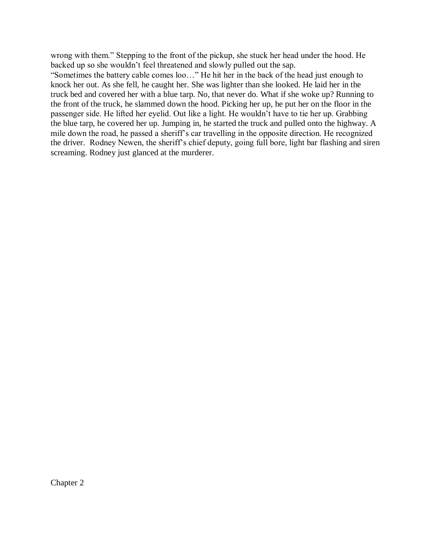wrong with them." Stepping to the front of the pickup, she stuck her head under the hood. He backed up so she wouldn't feel threatened and slowly pulled out the sap.

"Sometimes the battery cable comes loo…" He hit her in the back of the head just enough to knock her out. As she fell, he caught her. She was lighter than she looked. He laid her in the truck bed and covered her with a blue tarp. No, that never do. What if she woke up? Running to the front of the truck, he slammed down the hood. Picking her up, he put her on the floor in the passenger side. He lifted her eyelid. Out like a light. He wouldn't have to tie her up. Grabbing the blue tarp, he covered her up. Jumping in, he started the truck and pulled onto the highway. A mile down the road, he passed a sheriff's car travelling in the opposite direction. He recognized the driver. Rodney Newen, the sheriff's chief deputy, going full bore, light bar flashing and siren screaming. Rodney just glanced at the murderer.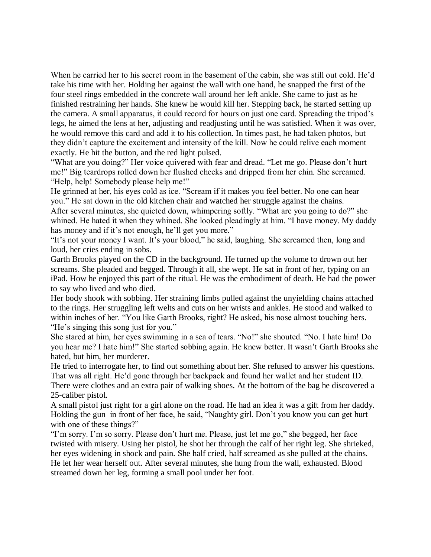When he carried her to his secret room in the basement of the cabin, she was still out cold. He'd take his time with her. Holding her against the wall with one hand, he snapped the first of the four steel rings embedded in the concrete wall around her left ankle. She came to just as he finished restraining her hands. She knew he would kill her. Stepping back, he started setting up the camera. A small apparatus, it could record for hours on just one card. Spreading the tripod's legs, he aimed the lens at her, adjusting and readjusting until he was satisfied. When it was over, he would remove this card and add it to his collection. In times past, he had taken photos, but they didn't capture the excitement and intensity of the kill. Now he could relive each moment exactly. He hit the button, and the red light pulsed.

"What are you doing?" Her voice quivered with fear and dread. "Let me go. Please don't hurt me!" Big teardrops rolled down her flushed cheeks and dripped from her chin. She screamed. "Help, help! Somebody please help me!"

He grinned at her, his eyes cold as ice. "Scream if it makes you feel better. No one can hear you." He sat down in the old kitchen chair and watched her struggle against the chains. After several minutes, she quieted down, whimpering softly. "What are you going to do?" she whined. He hated it when they whined. She looked pleadingly at him. "I have money. My daddy has money and if it's not enough, he'll get you more."

"It's not your money I want. It's your blood," he said, laughing. She screamed then, long and loud, her cries ending in sobs.

Garth Brooks played on the CD in the background. He turned up the volume to drown out her screams. She pleaded and begged. Through it all, she wept. He sat in front of her, typing on an iPad. How he enjoyed this part of the ritual. He was the embodiment of death. He had the power to say who lived and who died.

Her body shook with sobbing. Her straining limbs pulled against the unyielding chains attached to the rings. Her struggling left welts and cuts on her wrists and ankles. He stood and walked to within inches of her. "You like Garth Brooks, right? He asked, his nose almost touching hers. "He's singing this song just for you."

She stared at him, her eyes swimming in a sea of tears. "No!" she shouted. "No. I hate him! Do you hear me? I hate him!" She started sobbing again. He knew better. It wasn't Garth Brooks she hated, but him, her murderer.

He tried to interrogate her, to find out something about her. She refused to answer his questions. That was all right. He'd gone through her backpack and found her wallet and her student ID. There were clothes and an extra pair of walking shoes. At the bottom of the bag he discovered a 25-caliber pistol.

A small pistol just right for a girl alone on the road. He had an idea it was a gift from her daddy. Holding the gun in front of her face, he said, "Naughty girl. Don't you know you can get hurt with one of these things?"

"I'm sorry. I'm so sorry. Please don't hurt me. Please, just let me go," she begged, her face twisted with misery. Using her pistol, he shot her through the calf of her right leg. She shrieked, her eyes widening in shock and pain. She half cried, half screamed as she pulled at the chains. He let her wear herself out. After several minutes, she hung from the wall, exhausted. Blood streamed down her leg, forming a small pool under her foot.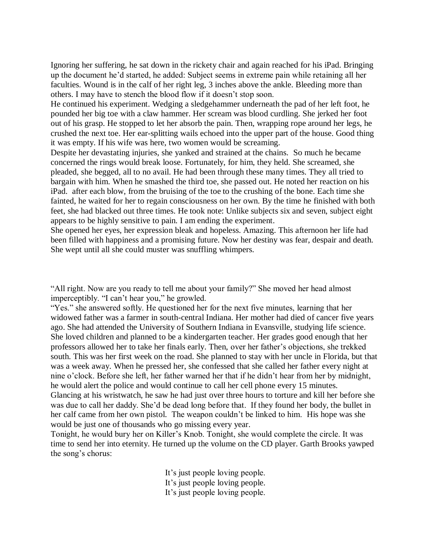Ignoring her suffering, he sat down in the rickety chair and again reached for his iPad. Bringing up the document he'd started, he added: Subject seems in extreme pain while retaining all her faculties. Wound is in the calf of her right leg, 3 inches above the ankle. Bleeding more than others. I may have to stench the blood flow if it doesn't stop soon.

He continued his experiment. Wedging a sledgehammer underneath the pad of her left foot, he pounded her big toe with a claw hammer. Her scream was blood curdling. She jerked her foot out of his grasp. He stopped to let her absorb the pain. Then, wrapping rope around her legs, he crushed the next toe. Her ear-splitting wails echoed into the upper part of the house. Good thing it was empty. If his wife was here, two women would be screaming.

Despite her devastating injuries, she yanked and strained at the chains. So much he became concerned the rings would break loose. Fortunately, for him, they held. She screamed, she pleaded, she begged, all to no avail. He had been through these many times. They all tried to bargain with him. When he smashed the third toe, she passed out. He noted her reaction on his iPad. after each blow, from the bruising of the toe to the crushing of the bone. Each time she fainted, he waited for her to regain consciousness on her own. By the time he finished with both feet, she had blacked out three times. He took note: Unlike subjects six and seven, subject eight appears to be highly sensitive to pain. I am ending the experiment.

She opened her eyes, her expression bleak and hopeless. Amazing. This afternoon her life had been filled with happiness and a promising future. Now her destiny was fear, despair and death. She wept until all she could muster was snuffling whimpers.

"All right. Now are you ready to tell me about your family?" She moved her head almost imperceptibly. "I can't hear you," he growled.

"Yes." she answered softly. He questioned her for the next five minutes, learning that her widowed father was a farmer in south-central Indiana. Her mother had died of cancer five years ago. She had attended the University of Southern Indiana in Evansville, studying life science. She loved children and planned to be a kindergarten teacher. Her grades good enough that her professors allowed her to take her finals early. Then, over her father's objections, she trekked south. This was her first week on the road. She planned to stay with her uncle in Florida, but that was a week away. When he pressed her, she confessed that she called her father every night at nine o'clock. Before she left, her father warned her that if he didn't hear from her by midnight, he would alert the police and would continue to call her cell phone every 15 minutes. Glancing at his wristwatch, he saw he had just over three hours to torture and kill her before she was due to call her daddy. She'd be dead long before that. If they found her body, the bullet in her calf came from her own pistol. The weapon couldn't be linked to him. His hope was she would be just one of thousands who go missing every year.

Tonight, he would bury her on Killer's Knob. Tonight, she would complete the circle. It was time to send her into eternity. He turned up the volume on the CD player. Garth Brooks yawped the song's chorus:

> It's just people loving people. It's just people loving people. It's just people loving people.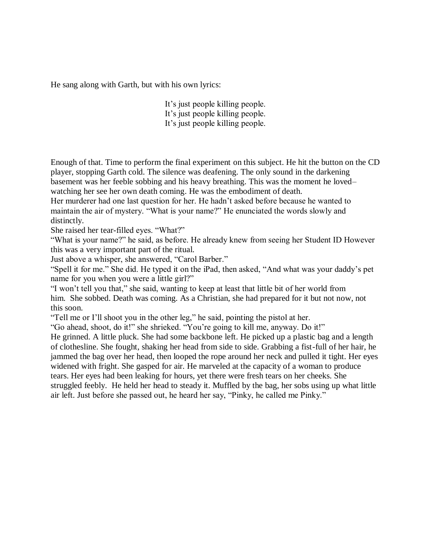He sang along with Garth, but with his own lyrics:

It's just people killing people. It's just people killing people. It's just people killing people.

Enough of that. Time to perform the final experiment on this subject. He hit the button on the CD player, stopping Garth cold. The silence was deafening. The only sound in the darkening basement was her feeble sobbing and his heavy breathing. This was the moment he loved– watching her see her own death coming. He was the embodiment of death.

Her murderer had one last question for her. He hadn't asked before because he wanted to maintain the air of mystery. "What is your name?" He enunciated the words slowly and distinctly.

She raised her tear-filled eyes. "What?"

"What is your name?" he said, as before. He already knew from seeing her Student ID However this was a very important part of the ritual.

Just above a whisper, she answered, "Carol Barber."

"Spell it for me." She did. He typed it on the iPad, then asked, "And what was your daddy's pet name for you when you were a little girl?"

"I won't tell you that," she said, wanting to keep at least that little bit of her world from him. She sobbed. Death was coming. As a Christian, she had prepared for it but not now, not this soon.

"Tell me or I'll shoot you in the other leg," he said, pointing the pistol at her.

"Go ahead, shoot, do it!" she shrieked. "You're going to kill me, anyway. Do it!"

He grinned. A little pluck. She had some backbone left. He picked up a plastic bag and a length of clothesline. She fought, shaking her head from side to side. Grabbing a fist-full of her hair, he jammed the bag over her head, then looped the rope around her neck and pulled it tight. Her eyes widened with fright. She gasped for air. He marveled at the capacity of a woman to produce tears. Her eyes had been leaking for hours, yet there were fresh tears on her cheeks. She struggled feebly. He held her head to steady it. Muffled by the bag, her sobs using up what little air left. Just before she passed out, he heard her say, "Pinky, he called me Pinky."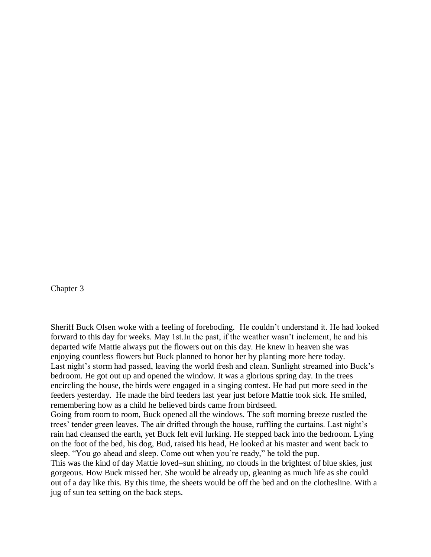Chapter 3

Sheriff Buck Olsen woke with a feeling of foreboding. He couldn't understand it. He had looked forward to this day for weeks. May 1st.In the past, if the weather wasn't inclement, he and his departed wife Mattie always put the flowers out on this day. He knew in heaven she was enjoying countless flowers but Buck planned to honor her by planting more here today. Last night's storm had passed, leaving the world fresh and clean. Sunlight streamed into Buck's bedroom. He got out up and opened the window. It was a glorious spring day. In the trees encircling the house, the birds were engaged in a singing contest. He had put more seed in the feeders yesterday. He made the bird feeders last year just before Mattie took sick. He smiled, remembering how as a child he believed birds came from birdseed. Going from room to room, Buck opened all the windows. The soft morning breeze rustled the

trees' tender green leaves. The air drifted through the house, ruffling the curtains. Last night's rain had cleansed the earth, yet Buck felt evil lurking. He stepped back into the bedroom. Lying on the foot of the bed, his dog, Bud, raised his head, He looked at his master and went back to sleep. "You go ahead and sleep. Come out when you're ready," he told the pup.

This was the kind of day Mattie loved–sun shining, no clouds in the brightest of blue skies, just gorgeous. How Buck missed her. She would be already up, gleaning as much life as she could out of a day like this. By this time, the sheets would be off the bed and on the clothesline. With a jug of sun tea setting on the back steps.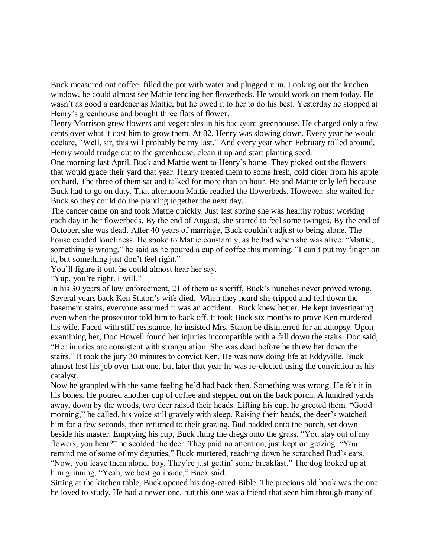Buck measured out coffee, filled the pot with water and plugged it in. Looking out the kitchen window, he could almost see Mattie tending her flowerbeds. He would work on them today. He wasn't as good a gardener as Mattie, but he owed it to her to do his best. Yesterday he stopped at Henry's greenhouse and bought three flats of flower.

Henry Morrison grew flowers and vegetables in his backyard greenhouse. He charged only a few cents over what it cost him to grow them. At 82, Henry was slowing down. Every year he would declare, "Well, sir, this will probably be my last." And every year when February rolled around, Henry would trudge out to the greenhouse, clean it up and start planting seed.

One morning last April, Buck and Mattie went to Henry's home. They picked out the flowers that would grace their yard that year. Henry treated them to some fresh, cold cider from his apple orchard. The three of them sat and talked for more than an hour. He and Mattie only left because Buck had to go on duty. That afternoon Mattie readied the flowerbeds. However, she waited for Buck so they could do the planting together the next day.

The cancer came on and took Mattie quickly. Just last spring she was healthy robust working each day in her flowerbeds. By the end of August, she started to feel some twinges. By the end of October, she was dead. After 40 years of marriage, Buck couldn't adjust to being alone. The house exuded loneliness. He spoke to Mattie constantly, as he had when she was alive. "Mattie, something is wrong," he said as he poured a cup of coffee this morning. "I can't put my finger on it, but something just don't feel right."

You'll figure it out, he could almost hear her say.

"Yup, you're right. I will."

In his 30 years of law enforcement, 21 of them as sheriff, Buck's hunches never proved wrong. Several years back Ken Staton's wife died. When they heard she tripped and fell down the basement stairs, everyone assumed it was an accident. Buck knew better. He kept investigating even when the prosecutor told him to back off. It took Buck six months to prove Ken murdered his wife. Faced with stiff resistance, he insisted Mrs. Staton be disinterred for an autopsy. Upon examining her, Doc Howell found her injuries incompatible with a fall down the stairs. Doc said, "Her injuries are consistent with strangulation. She was dead before he threw her down the stairs." It took the jury 30 minutes to convict Ken, He was now doing life at Eddyville. Buck almost lost his job over that one, but later that year he was re-elected using the conviction as his catalyst.

Now he grappled with the same feeling he'd had back then. Something was wrong. He felt it in his bones. He poured another cup of coffee and stepped out on the back porch. A hundred yards away, down by the woods, two deer raised their heads. Lifting his cup, he greeted them. "Good morning," he called, his voice still gravely with sleep. Raising their heads, the deer's watched him for a few seconds, then returned to their grazing. Bud padded onto the porch, set down beside his master. Emptying his cup, Buck flung the dregs onto the grass. "You stay out of my flowers, you hear?" he scolded the deer. They paid no attention, just kept on grazing. "You remind me of some of my deputies," Buck muttered, reaching down he scratched Bud's ears. "Now, you leave them alone, boy. They're just gettin' some breakfast." The dog looked up at him grinning, "Yeah, we best go inside," Buck said.

Sitting at the kitchen table, Buck opened his dog-eared Bible. The precious old book was the one he loved to study. He had a newer one, but this one was a friend that seen him through many of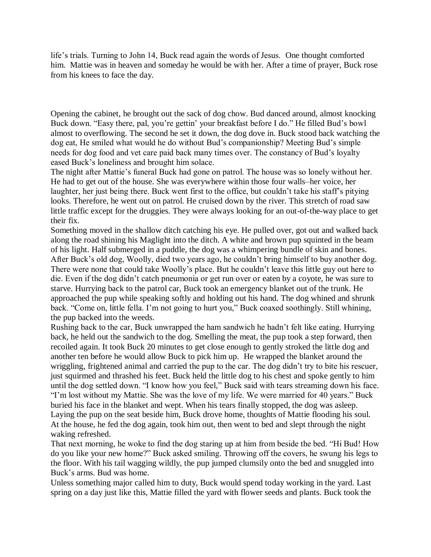life's trials. Turning to John 14, Buck read again the words of Jesus. One thought comforted him. Mattie was in heaven and someday he would be with her. After a time of prayer, Buck rose from his knees to face the day.

Opening the cabinet, he brought out the sack of dog chow. Bud danced around, almost knocking Buck down. "Easy there, pal, you're gettin' your breakfast before I do." He filled Bud's bowl almost to overflowing. The second he set it down, the dog dove in. Buck stood back watching the dog eat, He smiled what would he do without Bud's companionship? Meeting Bud's simple needs for dog food and vet care paid back many times over. The constancy of Bud's loyalty eased Buck's loneliness and brought him solace.

The night after Mattie's funeral Buck had gone on patrol. The house was so lonely without her. He had to get out of the house. She was everywhere within those four walls–her voice, her laughter, her just being there. Buck went first to the office, but couldn't take his staff's pitying looks. Therefore, he went out on patrol. He cruised down by the river. This stretch of road saw little traffic except for the druggies. They were always looking for an out-of-the-way place to get their fix.

Something moved in the shallow ditch catching his eye. He pulled over, got out and walked back along the road shining his Maglight into the ditch. A white and brown pup squinted in the beam of his light. Half submerged in a puddle, the dog was a whimpering bundle of skin and bones. After Buck's old dog, Woolly, died two years ago, he couldn't bring himself to buy another dog. There were none that could take Woolly's place. But he couldn't leave this little guy out here to die. Even if the dog didn't catch pneumonia or get run over or eaten by a coyote, he was sure to starve. Hurrying back to the patrol car, Buck took an emergency blanket out of the trunk. He approached the pup while speaking softly and holding out his hand. The dog whined and shrunk back. "Come on, little fella. I'm not going to hurt you," Buck coaxed soothingly. Still whining, the pup backed into the weeds.

Rushing back to the car, Buck unwrapped the ham sandwich he hadn't felt like eating. Hurrying back, he held out the sandwich to the dog. Smelling the meat, the pup took a step forward, then recoiled again. It took Buck 20 minutes to get close enough to gently stroked the little dog and another ten before he would allow Buck to pick him up. He wrapped the blanket around the wriggling, frightened animal and carried the pup to the car. The dog didn't try to bite his rescuer, just squirmed and thrashed his feet. Buck held the little dog to his chest and spoke gently to him until the dog settled down. "I know how you feel," Buck said with tears streaming down his face. "I'm lost without my Mattie. She was the love of my life. We were married for 40 years." Buck buried his face in the blanket and wept. When his tears finally stopped, the dog was asleep. Laying the pup on the seat beside him, Buck drove home, thoughts of Mattie flooding his soul. At the house, he fed the dog again, took him out, then went to bed and slept through the night waking refreshed.

That next morning, he woke to find the dog staring up at him from beside the bed. "Hi Bud! How do you like your new home?" Buck asked smiling. Throwing off the covers, he swung his legs to the floor. With his tail wagging wildly, the pup jumped clumsily onto the bed and snuggled into Buck's arms. Bud was home.

Unless something major called him to duty, Buck would spend today working in the yard. Last spring on a day just like this, Mattie filled the yard with flower seeds and plants. Buck took the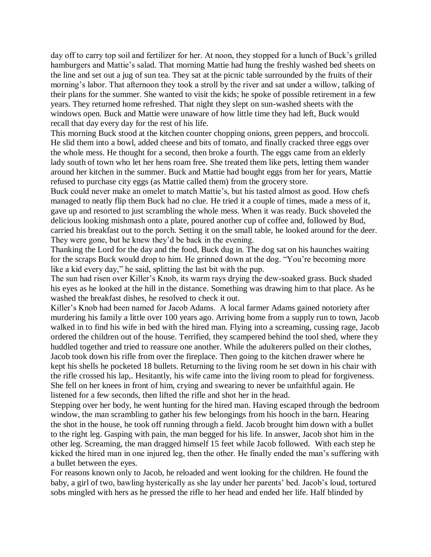day off to carry top soil and fertilizer for her. At noon, they stopped for a lunch of Buck's grilled hamburgers and Mattie's salad. That morning Mattie had hung the freshly washed bed sheets on the line and set out a jug of sun tea. They sat at the picnic table surrounded by the fruits of their morning's labor. That afternoon they took a stroll by the river and sat under a willow, talking of their plans for the summer. She wanted to visit the kids; he spoke of possible retirement in a few years. They returned home refreshed. That night they slept on sun-washed sheets with the windows open. Buck and Mattie were unaware of how little time they had left, Buck would recall that day every day for the rest of his life.

This morning Buck stood at the kitchen counter chopping onions, green peppers, and broccoli. He slid them into a bowl, added cheese and bits of tomato, and finally cracked three eggs over the whole mess. He thought for a second, then broke a fourth. The eggs came from an elderly lady south of town who let her hens roam free. She treated them like pets, letting them wander around her kitchen in the summer. Buck and Mattie had bought eggs from her for years, Mattie refused to purchase city eggs (as Mattie called them) from the grocery store.

Buck could never make an omelet to match Mattie's, but his tasted almost as good. How chefs managed to neatly flip them Buck had no clue. He tried it a couple of times, made a mess of it, gave up and resorted to just scrambling the whole mess. When it was ready. Buck shoveled the delicious looking mishmash onto a plate, poured another cup of coffee and, followed by Bud, carried his breakfast out to the porch. Setting it on the small table, he looked around for the deer. They were gone, but he knew they'd be back in the evening.

Thanking the Lord for the day and the food, Buck dug in. The dog sat on his haunches waiting for the scraps Buck would drop to him. He grinned down at the dog. "You're becoming more like a kid every day," he said, splitting the last bit with the pup.

The sun had risen over Killer's Knob, its warm rays drying the dew-soaked grass. Buck shaded his eyes as he looked at the hill in the distance. Something was drawing him to that place. As he washed the breakfast dishes, he resolved to check it out.

Killer's Knob had been named for Jacob Adams. A local farmer Adams gained notoriety after murdering his family a little over 100 years ago. Arriving home from a supply run to town, Jacob walked in to find his wife in bed with the hired man. Flying into a screaming, cussing rage, Jacob ordered the children out of the house. Terrified, they scampered behind the tool shed, where they huddled together and tried to reassure one another. While the adulterers pulled on their clothes, Jacob took down his rifle from over the fireplace. Then going to the kitchen drawer where he kept his shells he pocketed 18 bullets. Returning to the living room he set down in his chair with the rifle crossed his lap,. Hesitantly, his wife came into the living room to plead for forgiveness. She fell on her knees in front of him, crying and swearing to never be unfaithful again. He listened for a few seconds, then lifted the rifle and shot her in the head.

Stepping over her body, he went hunting for the hired man. Having escaped through the bedroom window, the man scrambling to gather his few belongings from his hooch in the barn. Hearing the shot in the house, he took off running through a field. Jacob brought him down with a bullet to the right leg. Gasping with pain, the man begged for his life. In answer, Jacob shot him in the other leg. Screaming, the man dragged himself 15 feet while Jacob followed. With each step he kicked the hired man in one injured leg, then the other. He finally ended the man's suffering with a bullet between the eyes.

For reasons known only to Jacob, he reloaded and went looking for the children. He found the baby, a girl of two, bawling hysterically as she lay under her parents' bed. Jacob's loud, tortured sobs mingled with hers as he pressed the rifle to her head and ended her life. Half blinded by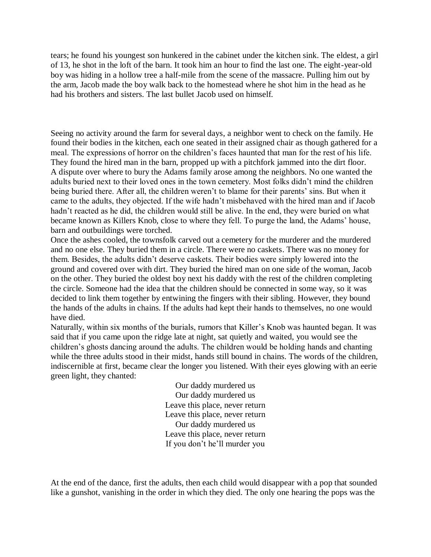tears; he found his youngest son hunkered in the cabinet under the kitchen sink. The eldest, a girl of 13, he shot in the loft of the barn. It took him an hour to find the last one. The eight-year-old boy was hiding in a hollow tree a half-mile from the scene of the massacre. Pulling him out by the arm, Jacob made the boy walk back to the homestead where he shot him in the head as he had his brothers and sisters. The last bullet Jacob used on himself.

Seeing no activity around the farm for several days, a neighbor went to check on the family. He found their bodies in the kitchen, each one seated in their assigned chair as though gathered for a meal. The expressions of horror on the children's faces haunted that man for the rest of his life. They found the hired man in the barn, propped up with a pitchfork jammed into the dirt floor. A dispute over where to bury the Adams family arose among the neighbors. No one wanted the adults buried next to their loved ones in the town cemetery. Most folks didn't mind the children being buried there. After all, the children weren't to blame for their parents' sins. But when it came to the adults, they objected. If the wife hadn't misbehaved with the hired man and if Jacob hadn't reacted as he did, the children would still be alive. In the end, they were buried on what became known as Killers Knob, close to where they fell. To purge the land, the Adams' house, barn and outbuildings were torched.

Once the ashes cooled, the townsfolk carved out a cemetery for the murderer and the murdered and no one else. They buried them in a circle. There were no caskets. There was no money for them. Besides, the adults didn't deserve caskets. Their bodies were simply lowered into the ground and covered over with dirt. They buried the hired man on one side of the woman, Jacob on the other. They buried the oldest boy next his daddy with the rest of the children completing the circle. Someone had the idea that the children should be connected in some way, so it was decided to link them together by entwining the fingers with their sibling. However, they bound the hands of the adults in chains. If the adults had kept their hands to themselves, no one would have died.

Naturally, within six months of the burials, rumors that Killer's Knob was haunted began. It was said that if you came upon the ridge late at night, sat quietly and waited, you would see the children's ghosts dancing around the adults. The children would be holding hands and chanting while the three adults stood in their midst, hands still bound in chains. The words of the children, indiscernible at first, became clear the longer you listened. With their eyes glowing with an eerie green light, they chanted:

> Our daddy murdered us Our daddy murdered us Leave this place, never return Leave this place, never return Our daddy murdered us Leave this place, never return If you don't he'll murder you

At the end of the dance, first the adults, then each child would disappear with a pop that sounded like a gunshot, vanishing in the order in which they died. The only one hearing the pops was the